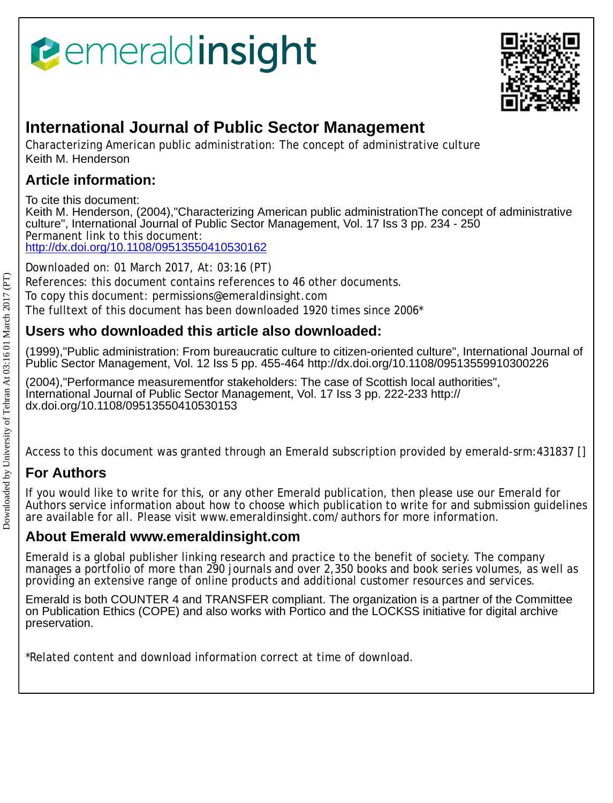# *<u><b>e*emeraldinsight</u>



## **International Journal of Public Sector Management**

Characterizing American public administration: The concept of administrative culture Keith M. Henderson

## **Article information:**

To cite this document: Keith M. Henderson, (2004),"Characterizing American public administrationThe concept of administrative culture", International Journal of Public Sector Management, Vol. 17 Iss 3 pp. 234 - 250 Permanent link to this document: <http://dx.doi.org/10.1108/09513550410530162>

Downloaded on: 01 March 2017, At: 03:16 (PT) References: this document contains references to 46 other documents. To copy this document: permissions@emeraldinsight.com The fulltext of this document has been downloaded 1920 times since 2006\*

## **Users who downloaded this article also downloaded:**

(1999),"Public administration: From bureaucratic culture to citizen-oriented culture", International Journal of Public Sector Management, Vol. 12 Iss 5 pp. 455-464 http://dx.doi.org/10.1108/09513559910300226

(2004),"Performance measurementfor stakeholders: The case of Scottish local authorities", International Journal of Public Sector Management, Vol. 17 Iss 3 pp. 222-233 http:// dx.doi.org/10.1108/09513550410530153

Access to this document was granted through an Emerald subscription provided by emerald-srm:431837 []

## **For Authors**

If you would like to write for this, or any other Emerald publication, then please use our Emerald for Authors service information about how to choose which publication to write for and submission guidelines are available for all. Please visit www.emeraldinsight.com/authors for more information.

### **About Emerald www.emeraldinsight.com**

Emerald is a global publisher linking research and practice to the benefit of society. The company manages a portfolio of more than 290 journals and over 2,350 books and book series volumes, as well as providing an extensive range of online products and additional customer resources and services.

Emerald is both COUNTER 4 and TRANSFER compliant. The organization is a partner of the Committee on Publication Ethics (COPE) and also works with Portico and the LOCKSS initiative for digital archive preservation.

\*Related content and download information correct at time of download.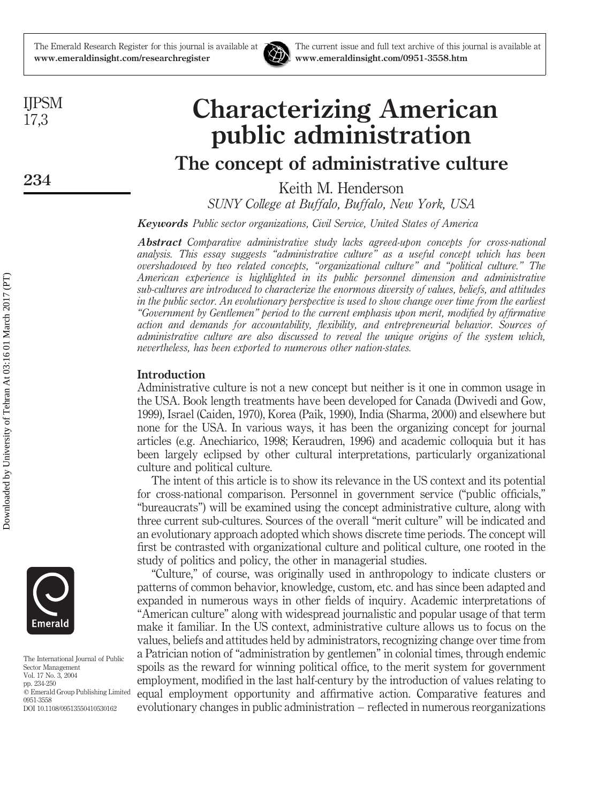

## IJPSM 17,3

234



The International Journal of Public Sector Management Vol. 17 No. 3, 2004 pp. 234-250  $©$  Emerald Group Publishing Limited 0951-3558 DOI 10.1108/09513550410530162

## Characterizing American public administration The concept of administrative culture

Keith M. Henderson

SUNY College at Buffalo, Buffalo, New York, USA

Keywords Public sector organizations, Civil Service, United States of America

Abstract Comparative administrative study lacks agreed-upon concepts for cross-national analysis. This essay suggests "administrative culture" as a useful concept which has been overshadowed by two related concepts, "organizational culture" and "political culture." The American experience is highlighted in its public personnel dimension and administrative sub-cultures are introduced to characterize the enormous diversity of values, beliefs, and attitudes in the public sector. An evolutionary perspective is used to show change over time from the earliest "Government by Gentlemen" period to the current emphasis upon merit, modified by affirmative action and demands for accountability, flexibility, and entrepreneurial behavior. Sources of administrative culture are also discussed to reveal the unique origins of the system which, nevertheless, has been exported to numerous other nation-states.

#### Introduction

Administrative culture is not a new concept but neither is it one in common usage in the USA. Book length treatments have been developed for Canada (Dwivedi and Gow, 1999), Israel (Caiden, 1970), Korea (Paik, 1990), India (Sharma, 2000) and elsewhere but none for the USA. In various ways, it has been the organizing concept for journal articles (e.g. Anechiarico, 1998; Keraudren, 1996) and academic colloquia but it has been largely eclipsed by other cultural interpretations, particularly organizational culture and political culture.

The intent of this article is to show its relevance in the US context and its potential for cross-national comparison. Personnel in government service ("public officials," "bureaucrats") will be examined using the concept administrative culture, along with three current sub-cultures. Sources of the overall "merit culture" will be indicated and an evolutionary approach adopted which shows discrete time periods. The concept will first be contrasted with organizational culture and political culture, one rooted in the study of politics and policy, the other in managerial studies.

"Culture," of course, was originally used in anthropology to indicate clusters or patterns of common behavior, knowledge, custom, etc. and has since been adapted and expanded in numerous ways in other fields of inquiry. Academic interpretations of "American culture" along with widespread journalistic and popular usage of that term make it familiar. In the US context, administrative culture allows us to focus on the values, beliefs and attitudes held by administrators, recognizing change over time from a Patrician notion of "administration by gentlemen" in colonial times, through endemic spoils as the reward for winning political office, to the merit system for government employment, modified in the last half-century by the introduction of values relating to equal employment opportunity and affirmative action. Comparative features and evolutionary changes in public administration – reflected in numerous reorganizations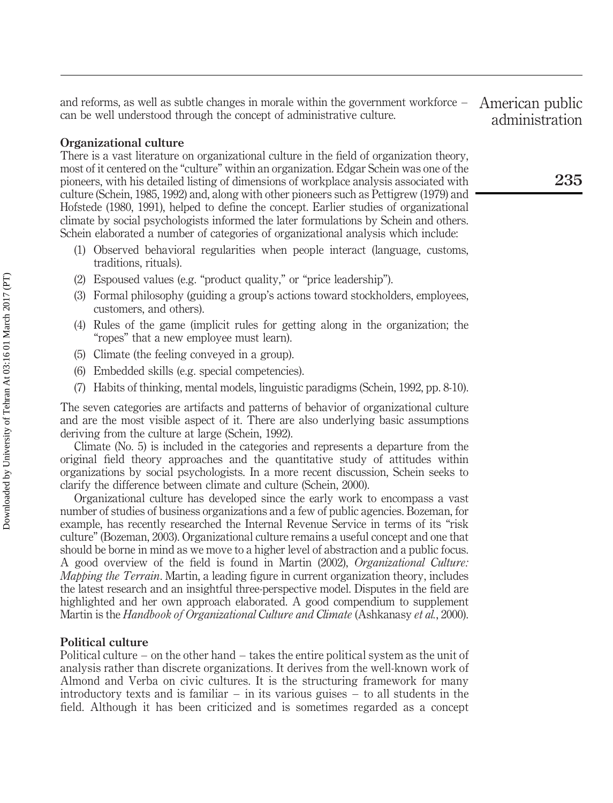and reforms, as well as subtle changes in morale within the government workforce – can be well understood through the concept of administrative culture.

#### Organizational culture

There is a vast literature on organizational culture in the field of organization theory, most of it centered on the "culture" within an organization. Edgar Schein was one of the pioneers, with his detailed listing of dimensions of workplace analysis associated with culture (Schein, 1985, 1992) and, along with other pioneers such as Pettigrew (1979) and Hofstede (1980, 1991), helped to define the concept. Earlier studies of organizational climate by social psychologists informed the later formulations by Schein and others. Schein elaborated a number of categories of organizational analysis which include:

- (1) Observed behavioral regularities when people interact (language, customs, traditions, rituals).
- (2) Espoused values (e.g. "product quality," or "price leadership").
- (3) Formal philosophy (guiding a group's actions toward stockholders, employees, customers, and others).
- (4) Rules of the game (implicit rules for getting along in the organization; the "ropes" that a new employee must learn).
- (5) Climate (the feeling conveyed in a group).
- (6) Embedded skills (e.g. special competencies).
- (7) Habits of thinking, mental models, linguistic paradigms (Schein, 1992, pp. 8-10).

The seven categories are artifacts and patterns of behavior of organizational culture and are the most visible aspect of it. There are also underlying basic assumptions deriving from the culture at large (Schein, 1992).

Climate (No. 5) is included in the categories and represents a departure from the original field theory approaches and the quantitative study of attitudes within organizations by social psychologists. In a more recent discussion, Schein seeks to clarify the difference between climate and culture (Schein, 2000).

Organizational culture has developed since the early work to encompass a vast number of studies of business organizations and a few of public agencies. Bozeman, for example, has recently researched the Internal Revenue Service in terms of its "risk culture" (Bozeman, 2003). Organizational culture remains a useful concept and one that should be borne in mind as we move to a higher level of abstraction and a public focus. A good overview of the field is found in Martin (2002), Organizational Culture: *Mapping the Terrain.* Martin, a leading figure in current organization theory, includes the latest research and an insightful three-perspective model. Disputes in the field are highlighted and her own approach elaborated. A good compendium to supplement Martin is the Handbook of Organizational Culture and Climate (Ashkanasy et al., 2000).

#### Political culture

Political culture – on the other hand – takes the entire political system as the unit of analysis rather than discrete organizations. It derives from the well-known work of Almond and Verba on civic cultures. It is the structuring framework for many introductory texts and is familiar  $-$  in its various guises  $-$  to all students in the field. Although it has been criticized and is sometimes regarded as a concept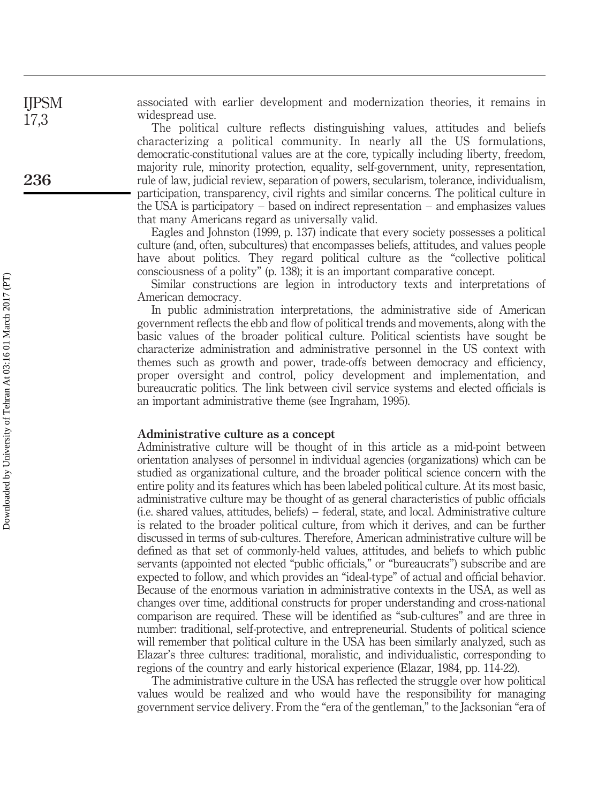associated with earlier development and modernization theories, it remains in widespread use.

The political culture reflects distinguishing values, attitudes and beliefs characterizing a political community. In nearly all the US formulations, democratic-constitutional values are at the core, typically including liberty, freedom, majority rule, minority protection, equality, self-government, unity, representation, rule of law, judicial review, separation of powers, secularism, tolerance, individualism, participation, transparency, civil rights and similar concerns. The political culture in the USA is participatory – based on indirect representation – and emphasizes values that many Americans regard as universally valid.

Eagles and Johnston (1999, p. 137) indicate that every society possesses a political culture (and, often, subcultures) that encompasses beliefs, attitudes, and values people have about politics. They regard political culture as the "collective political consciousness of a polity" (p. 138); it is an important comparative concept.

Similar constructions are legion in introductory texts and interpretations of American democracy.

In public administration interpretations, the administrative side of American government reflects the ebb and flow of political trends and movements, along with the basic values of the broader political culture. Political scientists have sought be characterize administration and administrative personnel in the US context with themes such as growth and power, trade-offs between democracy and efficiency, proper oversight and control, policy development and implementation, and bureaucratic politics. The link between civil service systems and elected officials is an important administrative theme (see Ingraham, 1995).

#### Administrative culture as a concept

Administrative culture will be thought of in this article as a mid-point between orientation analyses of personnel in individual agencies (organizations) which can be studied as organizational culture, and the broader political science concern with the entire polity and its features which has been labeled political culture. At its most basic, administrative culture may be thought of as general characteristics of public officials (i.e. shared values, attitudes, beliefs) – federal, state, and local. Administrative culture is related to the broader political culture, from which it derives, and can be further discussed in terms of sub-cultures. Therefore, American administrative culture will be defined as that set of commonly-held values, attitudes, and beliefs to which public servants (appointed not elected "public officials," or "bureaucrats") subscribe and are expected to follow, and which provides an "ideal-type" of actual and official behavior. Because of the enormous variation in administrative contexts in the USA, as well as changes over time, additional constructs for proper understanding and cross-national comparison are required. These will be identified as "sub-cultures" and are three in number: traditional, self-protective, and entrepreneurial. Students of political science will remember that political culture in the USA has been similarly analyzed, such as Elazar's three cultures: traditional, moralistic, and individualistic, corresponding to regions of the country and early historical experience (Elazar, 1984, pp. 114-22).

The administrative culture in the USA has reflected the struggle over how political values would be realized and who would have the responsibility for managing government service delivery. From the "era of the gentleman," to the Jacksonian "era of

236

IJPSM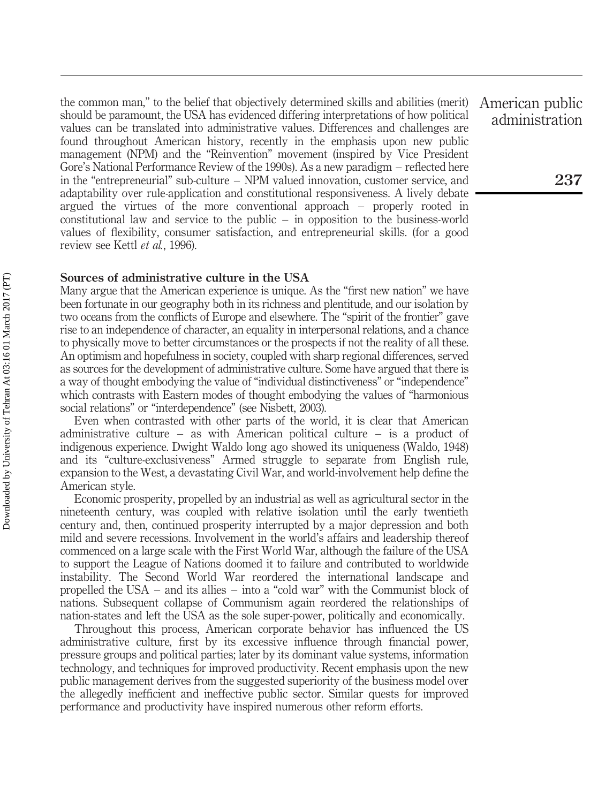the common man," to the belief that objectively determined skills and abilities (merit) should be paramount, the USA has evidenced differing interpretations of how political values can be translated into administrative values. Differences and challenges are found throughout American history, recently in the emphasis upon new public management (NPM) and the "Reinvention" movement (inspired by Vice President Gore's National Performance Review of the 1990s). As a new paradigm – reflected here in the "entrepreneurial" sub-culture – NPM valued innovation, customer service, and adaptability over rule-application and constitutional responsiveness. A lively debate argued the virtues of the more conventional approach – properly rooted in constitutional law and service to the public – in opposition to the business-world values of flexibility, consumer satisfaction, and entrepreneurial skills. (for a good review see Kettl et al., 1996).

#### Sources of administrative culture in the USA

Many argue that the American experience is unique. As the "first new nation" we have been fortunate in our geography both in its richness and plentitude, and our isolation by two oceans from the conflicts of Europe and elsewhere. The "spirit of the frontier" gave rise to an independence of character, an equality in interpersonal relations, and a chance to physically move to better circumstances or the prospects if not the reality of all these. An optimism and hopefulness in society, coupled with sharp regional differences, served as sources for the development of administrative culture. Some have argued that there is a way of thought embodying the value of "individual distinctiveness" or "independence" which contrasts with Eastern modes of thought embodying the values of "harmonious social relations" or "interdependence" (see Nisbett, 2003).

Even when contrasted with other parts of the world, it is clear that American administrative culture – as with American political culture – is a product of indigenous experience. Dwight Waldo long ago showed its uniqueness (Waldo, 1948) and its "culture-exclusiveness" Armed struggle to separate from English rule, expansion to the West, a devastating Civil War, and world-involvement help define the American style.

Economic prosperity, propelled by an industrial as well as agricultural sector in the nineteenth century, was coupled with relative isolation until the early twentieth century and, then, continued prosperity interrupted by a major depression and both mild and severe recessions. Involvement in the world's affairs and leadership thereof commenced on a large scale with the First World War, although the failure of the USA to support the League of Nations doomed it to failure and contributed to worldwide instability. The Second World War reordered the international landscape and propelled the USA – and its allies – into a "cold war" with the Communist block of nations. Subsequent collapse of Communism again reordered the relationships of nation-states and left the USA as the sole super-power, politically and economically.

Throughout this process, American corporate behavior has influenced the US administrative culture, first by its excessive influence through financial power, pressure groups and political parties; later by its dominant value systems, information technology, and techniques for improved productivity. Recent emphasis upon the new public management derives from the suggested superiority of the business model over the allegedly inefficient and ineffective public sector. Similar quests for improved performance and productivity have inspired numerous other reform efforts.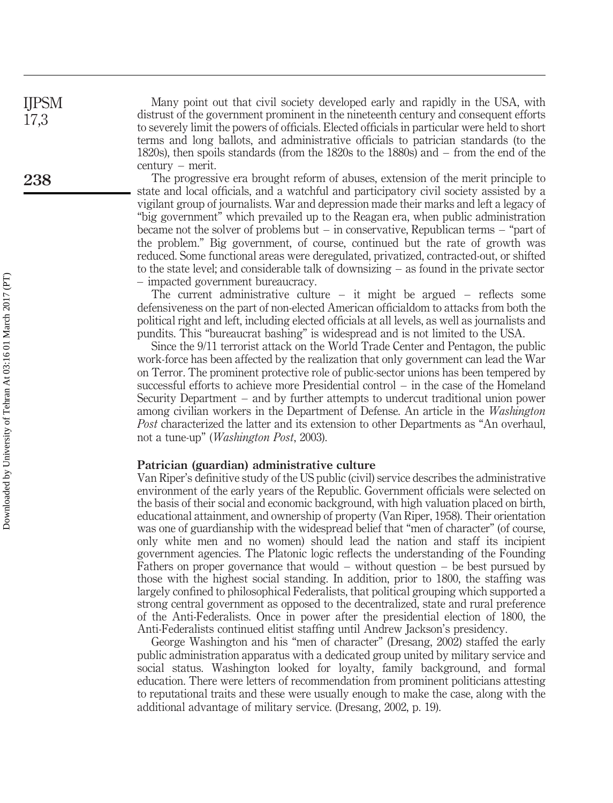Many point out that civil society developed early and rapidly in the USA, with distrust of the government prominent in the nineteenth century and consequent efforts to severely limit the powers of officials. Elected officials in particular were held to short terms and long ballots, and administrative officials to patrician standards (to the 1820s), then spoils standards (from the 1820s to the 1880s) and – from the end of the century – merit.

The progressive era brought reform of abuses, extension of the merit principle to state and local officials, and a watchful and participatory civil society assisted by a vigilant group of journalists. War and depression made their marks and left a legacy of "big government" which prevailed up to the Reagan era, when public administration became not the solver of problems but – in conservative, Republican terms – "part of the problem." Big government, of course, continued but the rate of growth was reduced. Some functional areas were deregulated, privatized, contracted-out, or shifted to the state level; and considerable talk of downsizing – as found in the private sector – impacted government bureaucracy.

The current administrative culture  $-$  it might be argued  $-$  reflects some defensiveness on the part of non-elected American officialdom to attacks from both the political right and left, including elected officials at all levels, as well as journalists and pundits. This "bureaucrat bashing" is widespread and is not limited to the USA.

Since the 9/11 terrorist attack on the World Trade Center and Pentagon, the public work-force has been affected by the realization that only government can lead the War on Terror. The prominent protective role of public-sector unions has been tempered by successful efforts to achieve more Presidential control – in the case of the Homeland Security Department – and by further attempts to undercut traditional union power among civilian workers in the Department of Defense. An article in the Washington Post characterized the latter and its extension to other Departments as "An overhaul, not a tune-up" (Washington Post, 2003).

#### Patrician (guardian) administrative culture

Van Riper's definitive study of the US public (civil) service describes the administrative environment of the early years of the Republic. Government officials were selected on the basis of their social and economic background, with high valuation placed on birth, educational attainment, and ownership of property (Van Riper, 1958). Their orientation was one of guardianship with the widespread belief that "men of character" (of course, only white men and no women) should lead the nation and staff its incipient government agencies. The Platonic logic reflects the understanding of the Founding Fathers on proper governance that would – without question – be best pursued by those with the highest social standing. In addition, prior to 1800, the staffing was largely confined to philosophical Federalists, that political grouping which supported a strong central government as opposed to the decentralized, state and rural preference of the Anti-Federalists. Once in power after the presidential election of 1800, the Anti-Federalists continued elitist staffing until Andrew Jackson's presidency.

George Washington and his "men of character" (Dresang, 2002) staffed the early public administration apparatus with a dedicated group united by military service and social status. Washington looked for loyalty, family background, and formal education. There were letters of recommendation from prominent politicians attesting to reputational traits and these were usually enough to make the case, along with the additional advantage of military service. (Dresang, 2002, p. 19).

IJPSM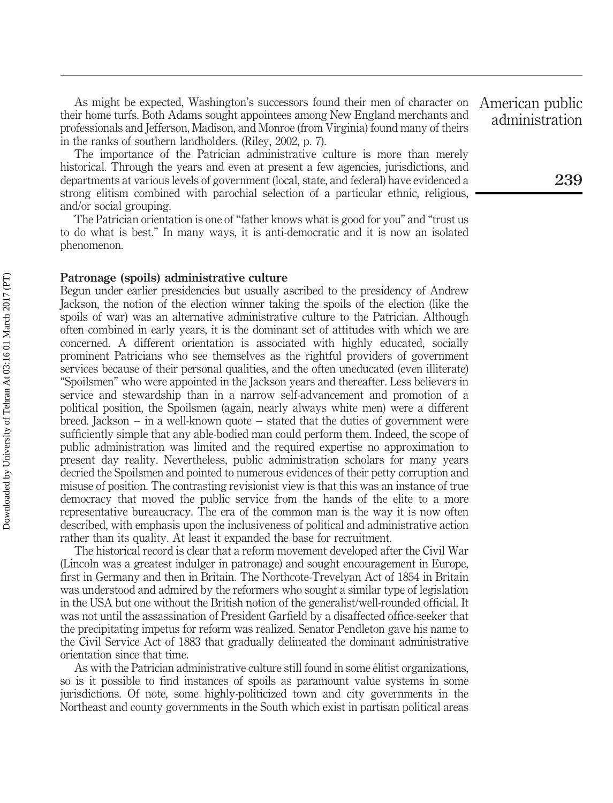As might be expected, Washington's successors found their men of character on their home turfs. Both Adams sought appointees among New England merchants and professionals and Jefferson, Madison, and Monroe (from Virginia) found many of theirs in the ranks of southern landholders. (Riley, 2002, p. 7).

The importance of the Patrician administrative culture is more than merely historical. Through the years and even at present a few agencies, jurisdictions, and departments at various levels of government (local, state, and federal) have evidenced a strong elitism combined with parochial selection of a particular ethnic, religious, and/or social grouping.

The Patrician orientation is one of "father knows what is good for you" and "trust us to do what is best." In many ways, it is anti-democratic and it is now an isolated phenomenon.

#### Patronage (spoils) administrative culture

Begun under earlier presidencies but usually ascribed to the presidency of Andrew Jackson, the notion of the election winner taking the spoils of the election (like the spoils of war) was an alternative administrative culture to the Patrician. Although often combined in early years, it is the dominant set of attitudes with which we are concerned. A different orientation is associated with highly educated, socially prominent Patricians who see themselves as the rightful providers of government services because of their personal qualities, and the often uneducated (even illiterate) "Spoilsmen" who were appointed in the Jackson years and thereafter. Less believers in service and stewardship than in a narrow self-advancement and promotion of a political position, the Spoilsmen (again, nearly always white men) were a different breed. Jackson – in a well-known quote – stated that the duties of government were sufficiently simple that any able-bodied man could perform them. Indeed, the scope of public administration was limited and the required expertise no approximation to present day reality. Nevertheless, public administration scholars for many years decried the Spoilsmen and pointed to numerous evidences of their petty corruption and misuse of position. The contrasting revisionist view is that this was an instance of true democracy that moved the public service from the hands of the elite to a more representative bureaucracy. The era of the common man is the way it is now often described, with emphasis upon the inclusiveness of political and administrative action rather than its quality. At least it expanded the base for recruitment.

The historical record is clear that a reform movement developed after the Civil War (Lincoln was a greatest indulger in patronage) and sought encouragement in Europe, first in Germany and then in Britain. The Northcote-Trevelyan Act of 1854 in Britain was understood and admired by the reformers who sought a similar type of legislation in the USA but one without the British notion of the generalist/well-rounded official. It was not until the assassination of President Garfield by a disaffected office-seeker that the precipitating impetus for reform was realized. Senator Pendleton gave his name to the Civil Service Act of 1883 that gradually delineated the dominant administrative orientation since that time.

As with the Patrician administrative culture still found in some etitist organizations, so is it possible to find instances of spoils as paramount value systems in some jurisdictions. Of note, some highly-politicized town and city governments in the Northeast and county governments in the South which exist in partisan political areas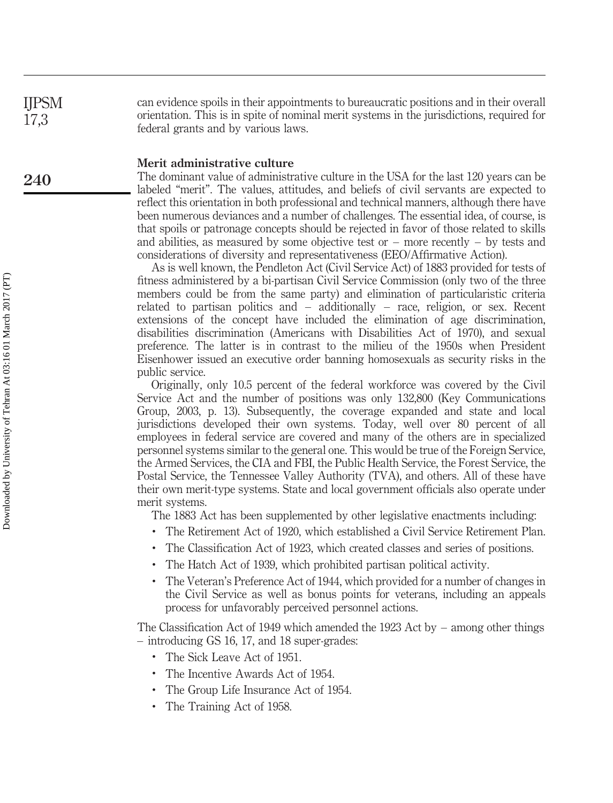can evidence spoils in their appointments to bureaucratic positions and in their overall orientation. This is in spite of nominal merit systems in the jurisdictions, required for federal grants and by various laws.

#### Merit administrative culture

The dominant value of administrative culture in the USA for the last 120 years can be labeled "merit". The values, attitudes, and beliefs of civil servants are expected to reflect this orientation in both professional and technical manners, although there have been numerous deviances and a number of challenges. The essential idea, of course, is that spoils or patronage concepts should be rejected in favor of those related to skills and abilities, as measured by some objective test or  $-$  more recently  $-$  by tests and considerations of diversity and representativeness (EEO/Affirmative Action).

As is well known, the Pendleton Act (Civil Service Act) of 1883 provided for tests of fitness administered by a bi-partisan Civil Service Commission (only two of the three members could be from the same party) and elimination of particularistic criteria related to partisan politics and – additionally – race, religion, or sex. Recent extensions of the concept have included the elimination of age discrimination, disabilities discrimination (Americans with Disabilities Act of 1970), and sexual preference. The latter is in contrast to the milieu of the 1950s when President Eisenhower issued an executive order banning homosexuals as security risks in the public service.

Originally, only 10.5 percent of the federal workforce was covered by the Civil Service Act and the number of positions was only 132,800 (Key Communications Group, 2003, p. 13). Subsequently, the coverage expanded and state and local jurisdictions developed their own systems. Today, well over 80 percent of all employees in federal service are covered and many of the others are in specialized personnel systems similar to the general one. This would be true of the Foreign Service, the Armed Services, the CIA and FBI, the Public Health Service, the Forest Service, the Postal Service, the Tennessee Valley Authority (TVA), and others. All of these have their own merit-type systems. State and local government officials also operate under merit systems.

The 1883 Act has been supplemented by other legislative enactments including:

- . The Retirement Act of 1920, which established a Civil Service Retirement Plan.
- . The Classification Act of 1923, which created classes and series of positions.
- . The Hatch Act of 1939, which prohibited partisan political activity.
- . The Veteran's Preference Act of 1944, which provided for a number of changes in the Civil Service as well as bonus points for veterans, including an appeals process for unfavorably perceived personnel actions.

The Classification Act of 1949 which amended the 1923 Act by – among other things – introducing GS 16, 17, and 18 super-grades:

- . The Sick Leave Act of 1951.
- . The Incentive Awards Act of 1954.
- . The Group Life Insurance Act of 1954.
- . The Training Act of 1958.

IJPSM 17,3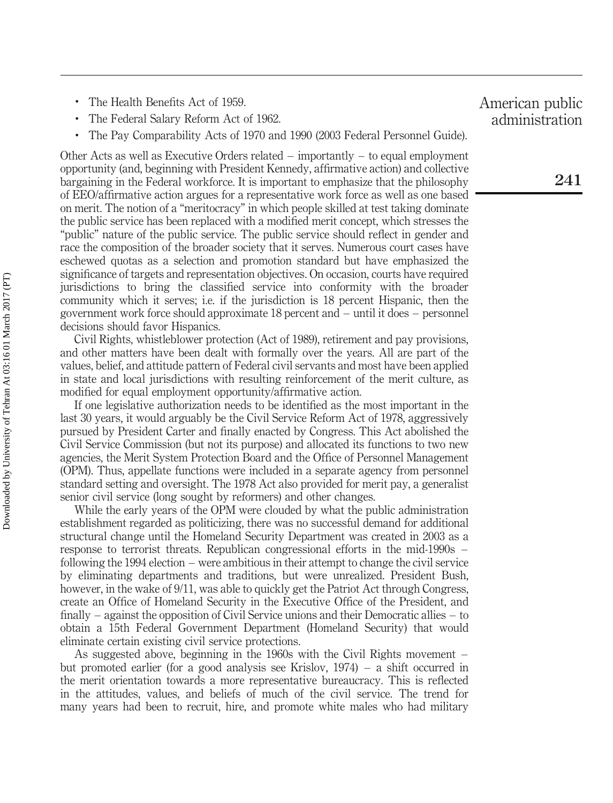- . The Federal Salary Reform Act of 1962.
- . The Pay Comparability Acts of 1970 and 1990 (2003 Federal Personnel Guide).

Other Acts as well as Executive Orders related – importantly – to equal employment opportunity (and, beginning with President Kennedy, affirmative action) and collective bargaining in the Federal workforce. It is important to emphasize that the philosophy of EEO/affirmative action argues for a representative work force as well as one based on merit. The notion of a "meritocracy" in which people skilled at test taking dominate the public service has been replaced with a modified merit concept, which stresses the "public" nature of the public service. The public service should reflect in gender and race the composition of the broader society that it serves. Numerous court cases have eschewed quotas as a selection and promotion standard but have emphasized the significance of targets and representation objectives. On occasion, courts have required jurisdictions to bring the classified service into conformity with the broader community which it serves; i.e. if the jurisdiction is 18 percent Hispanic, then the government work force should approximate 18 percent and – until it does – personnel decisions should favor Hispanics.

Civil Rights, whistleblower protection (Act of 1989), retirement and pay provisions, and other matters have been dealt with formally over the years. All are part of the values, belief, and attitude pattern of Federal civil servants and most have been applied in state and local jurisdictions with resulting reinforcement of the merit culture, as modified for equal employment opportunity/affirmative action.

If one legislative authorization needs to be identified as the most important in the last 30 years, it would arguably be the Civil Service Reform Act of 1978, aggressively pursued by President Carter and finally enacted by Congress. This Act abolished the Civil Service Commission (but not its purpose) and allocated its functions to two new agencies, the Merit System Protection Board and the Office of Personnel Management (OPM). Thus, appellate functions were included in a separate agency from personnel standard setting and oversight. The 1978 Act also provided for merit pay, a generalist senior civil service (long sought by reformers) and other changes.

While the early years of the OPM were clouded by what the public administration establishment regarded as politicizing, there was no successful demand for additional structural change until the Homeland Security Department was created in 2003 as a response to terrorist threats. Republican congressional efforts in the mid-1990s – following the 1994 election – were ambitious in their attempt to change the civil service by eliminating departments and traditions, but were unrealized. President Bush, however, in the wake of 9/11, was able to quickly get the Patriot Act through Congress, create an Office of Homeland Security in the Executive Office of the President, and finally – against the opposition of Civil Service unions and their Democratic allies – to obtain a 15th Federal Government Department (Homeland Security) that would eliminate certain existing civil service protections.

As suggested above, beginning in the 1960s with the Civil Rights movement – but promoted earlier (for a good analysis see Krislov, 1974) – a shift occurred in the merit orientation towards a more representative bureaucracy. This is reflected in the attitudes, values, and beliefs of much of the civil service. The trend for many years had been to recruit, hire, and promote white males who had military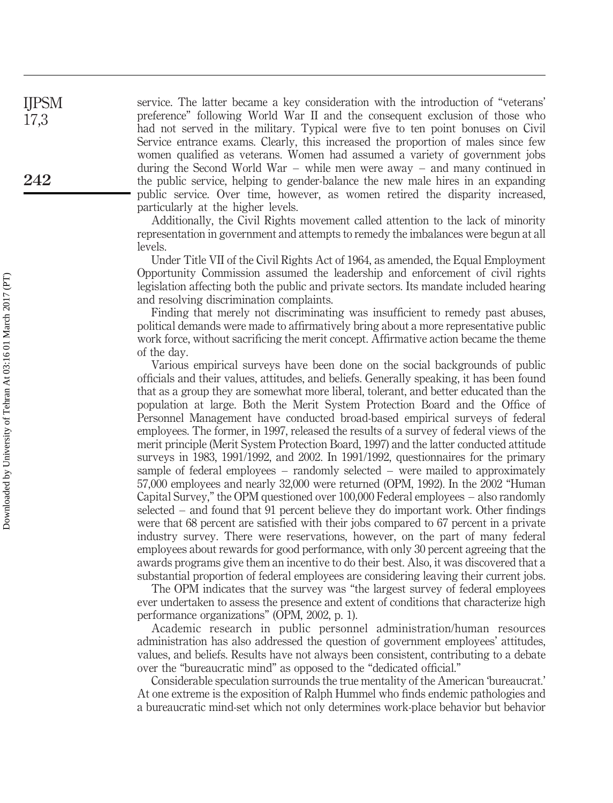service. The latter became a key consideration with the introduction of "veterans' preference" following World War II and the consequent exclusion of those who had not served in the military. Typical were five to ten point bonuses on Civil Service entrance exams. Clearly, this increased the proportion of males since few women qualified as veterans. Women had assumed a variety of government jobs during the Second World War – while men were away – and many continued in the public service, helping to gender-balance the new male hires in an expanding public service. Over time, however, as women retired the disparity increased, particularly at the higher levels.

Additionally, the Civil Rights movement called attention to the lack of minority representation in government and attempts to remedy the imbalances were begun at all levels.

Under Title VII of the Civil Rights Act of 1964, as amended, the Equal Employment Opportunity Commission assumed the leadership and enforcement of civil rights legislation affecting both the public and private sectors. Its mandate included hearing and resolving discrimination complaints.

Finding that merely not discriminating was insufficient to remedy past abuses, political demands were made to affirmatively bring about a more representative public work force, without sacrificing the merit concept. Affirmative action became the theme of the day.

Various empirical surveys have been done on the social backgrounds of public officials and their values, attitudes, and beliefs. Generally speaking, it has been found that as a group they are somewhat more liberal, tolerant, and better educated than the population at large. Both the Merit System Protection Board and the Office of Personnel Management have conducted broad-based empirical surveys of federal employees. The former, in 1997, released the results of a survey of federal views of the merit principle (Merit System Protection Board, 1997) and the latter conducted attitude surveys in 1983, 1991/1992, and 2002. In 1991/1992, questionnaires for the primary sample of federal employees – randomly selected – were mailed to approximately 57,000 employees and nearly 32,000 were returned (OPM, 1992). In the 2002 "Human Capital Survey," the OPM questioned over 100,000 Federal employees – also randomly selected – and found that 91 percent believe they do important work. Other findings were that 68 percent are satisfied with their jobs compared to 67 percent in a private industry survey. There were reservations, however, on the part of many federal employees about rewards for good performance, with only 30 percent agreeing that the awards programs give them an incentive to do their best. Also, it was discovered that a substantial proportion of federal employees are considering leaving their current jobs.

The OPM indicates that the survey was "the largest survey of federal employees ever undertaken to assess the presence and extent of conditions that characterize high performance organizations" (OPM, 2002, p. 1).

Academic research in public personnel administration/human resources administration has also addressed the question of government employees' attitudes, values, and beliefs. Results have not always been consistent, contributing to a debate over the "bureaucratic mind" as opposed to the "dedicated official."

Considerable speculation surrounds the true mentality of the American 'bureaucrat.' At one extreme is the exposition of Ralph Hummel who finds endemic pathologies and a bureaucratic mind-set which not only determines work-place behavior but behavior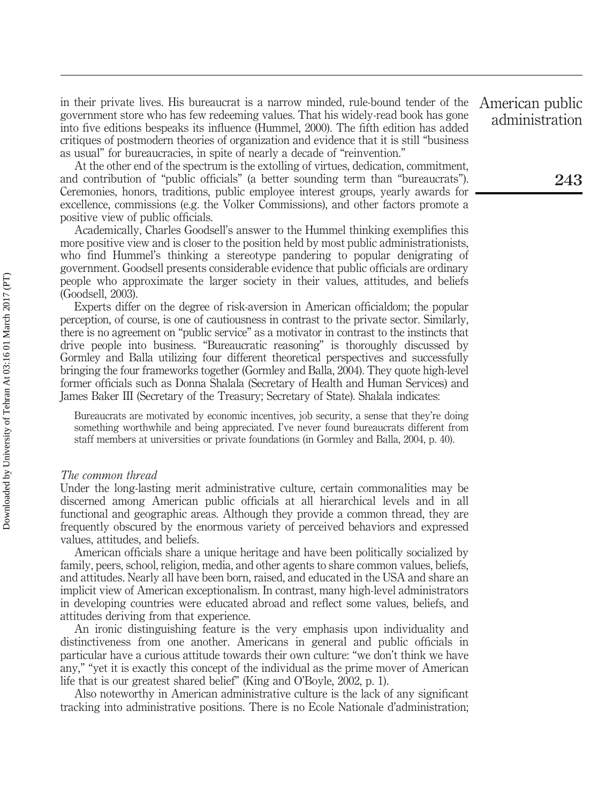in their private lives. His bureaucrat is a narrow minded, rule-bound tender of the government store who has few redeeming values. That his widely-read book has gone into five editions bespeaks its influence (Hummel, 2000). The fifth edition has added critiques of postmodern theories of organization and evidence that it is still "business as usual" for bureaucracies, in spite of nearly a decade of "reinvention."

At the other end of the spectrum is the extolling of virtues, dedication, commitment, and contribution of "public officials" (a better sounding term than "bureaucrats"). Ceremonies, honors, traditions, public employee interest groups, yearly awards for excellence, commissions (e.g. the Volker Commissions), and other factors promote a positive view of public officials.

Academically, Charles Goodsell's answer to the Hummel thinking exemplifies this more positive view and is closer to the position held by most public administrationists, who find Hummel's thinking a stereotype pandering to popular denigrating of government. Goodsell presents considerable evidence that public officials are ordinary people who approximate the larger society in their values, attitudes, and beliefs (Goodsell, 2003).

Experts differ on the degree of risk-aversion in American officialdom; the popular perception, of course, is one of cautiousness in contrast to the private sector. Similarly, there is no agreement on "public service" as a motivator in contrast to the instincts that drive people into business. "Bureaucratic reasoning" is thoroughly discussed by Gormley and Balla utilizing four different theoretical perspectives and successfully bringing the four frameworks together (Gormley and Balla, 2004). They quote high-level former officials such as Donna Shalala (Secretary of Health and Human Services) and James Baker III (Secretary of the Treasury; Secretary of State). Shalala indicates:

Bureaucrats are motivated by economic incentives, job security, a sense that they're doing something worthwhile and being appreciated. I've never found bureaucrats different from staff members at universities or private foundations (in Gormley and Balla, 2004, p. 40).

#### The common thread

Under the long-lasting merit administrative culture, certain commonalities may be discerned among American public officials at all hierarchical levels and in all functional and geographic areas. Although they provide a common thread, they are frequently obscured by the enormous variety of perceived behaviors and expressed values, attitudes, and beliefs.

American officials share a unique heritage and have been politically socialized by family, peers, school, religion, media, and other agents to share common values, beliefs, and attitudes. Nearly all have been born, raised, and educated in the USA and share an implicit view of American exceptionalism. In contrast, many high-level administrators in developing countries were educated abroad and reflect some values, beliefs, and attitudes deriving from that experience.

An ironic distinguishing feature is the very emphasis upon individuality and distinctiveness from one another. Americans in general and public officials in particular have a curious attitude towards their own culture: "we don't think we have any," "yet it is exactly this concept of the individual as the prime mover of American life that is our greatest shared belief" (King and O'Boyle, 2002, p. 1).

Also noteworthy in American administrative culture is the lack of any significant tracking into administrative positions. There is no Ecole Nationale d'administration;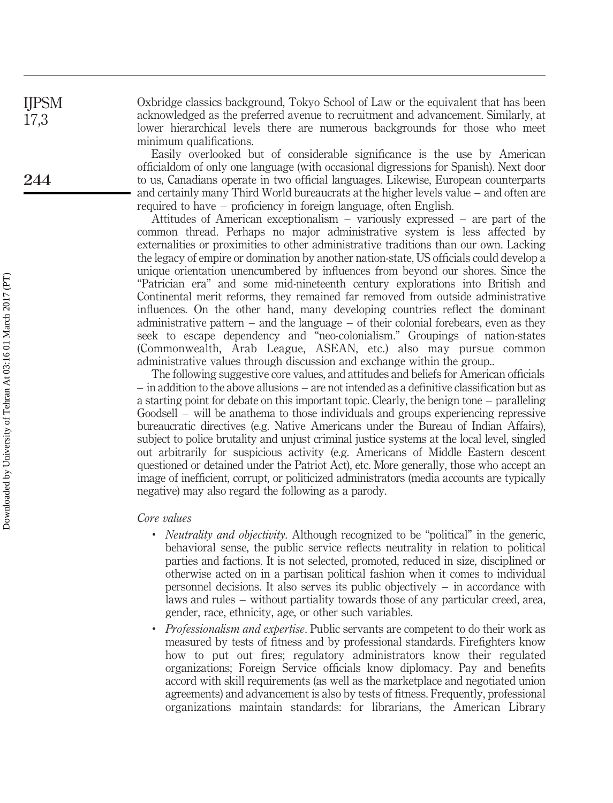Oxbridge classics background, Tokyo School of Law or the equivalent that has been acknowledged as the preferred avenue to recruitment and advancement. Similarly, at lower hierarchical levels there are numerous backgrounds for those who meet minimum qualifications.

Easily overlooked but of considerable significance is the use by American officialdom of only one language (with occasional digressions for Spanish). Next door to us, Canadians operate in two official languages. Likewise, European counterparts and certainly many Third World bureaucrats at the higher levels value – and often are required to have – proficiency in foreign language, often English.

Attitudes of American exceptionalism – variously expressed – are part of the common thread. Perhaps no major administrative system is less affected by externalities or proximities to other administrative traditions than our own. Lacking the legacy of empire or domination by another nation-state, US officials could develop a unique orientation unencumbered by influences from beyond our shores. Since the "Patrician era" and some mid-nineteenth century explorations into British and Continental merit reforms, they remained far removed from outside administrative influences. On the other hand, many developing countries reflect the dominant administrative pattern  $-$  and the language  $-$  of their colonial forebears, even as they seek to escape dependency and "neo-colonialism." Groupings of nation-states (Commonwealth, Arab League, ASEAN, etc.) also may pursue common administrative values through discussion and exchange within the group..

The following suggestive core values, and attitudes and beliefs for American officials – in addition to the above allusions – are not intended as a definitive classification but as a starting point for debate on this important topic. Clearly, the benign tone – paralleling Goodsell – will be anathema to those individuals and groups experiencing repressive bureaucratic directives (e.g. Native Americans under the Bureau of Indian Affairs), subject to police brutality and unjust criminal justice systems at the local level, singled out arbitrarily for suspicious activity (e.g. Americans of Middle Eastern descent questioned or detained under the Patriot Act), etc. More generally, those who accept an image of inefficient, corrupt, or politicized administrators (media accounts are typically negative) may also regard the following as a parody.

#### Core values

- *Neutrality and objectivity*. Although recognized to be "political" in the generic, behavioral sense, the public service reflects neutrality in relation to political parties and factions. It is not selected, promoted, reduced in size, disciplined or otherwise acted on in a partisan political fashion when it comes to individual personnel decisions. It also serves its public objectively – in accordance with laws and rules – without partiality towards those of any particular creed, area, gender, race, ethnicity, age, or other such variables.
- Professionalism and expertise. Public servants are competent to do their work as measured by tests of fitness and by professional standards. Firefighters know how to put out fires; regulatory administrators know their regulated organizations; Foreign Service officials know diplomacy. Pay and benefits accord with skill requirements (as well as the marketplace and negotiated union agreements) and advancement is also by tests of fitness. Frequently, professional organizations maintain standards: for librarians, the American Library

IJPSM 17,3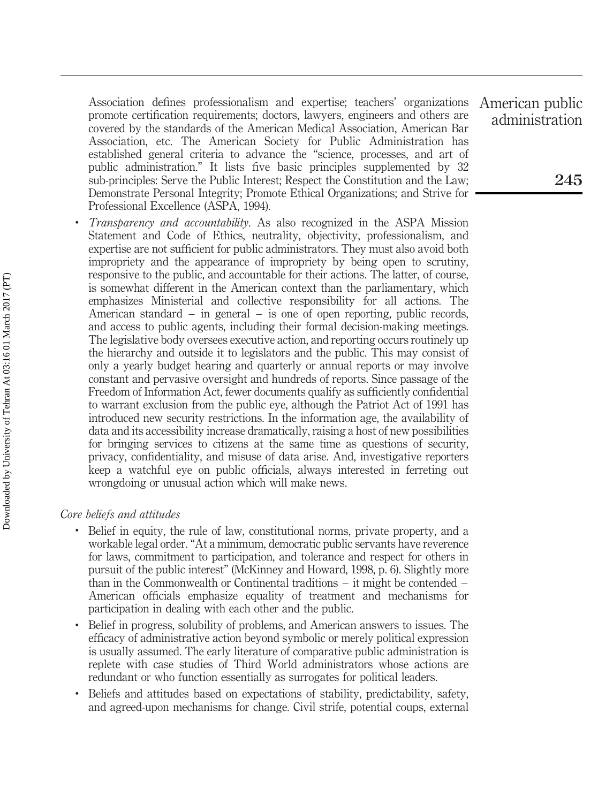Association defines professionalism and expertise; teachers' organizations promote certification requirements; doctors, lawyers, engineers and others are covered by the standards of the American Medical Association, American Bar Association, etc. The American Society for Public Administration has established general criteria to advance the "science, processes, and art of public administration." It lists five basic principles supplemented by 32 sub-principles: Serve the Public Interest; Respect the Constitution and the Law; Demonstrate Personal Integrity; Promote Ethical Organizations; and Strive for Professional Excellence (ASPA, 1994).

*Transparency and accountability.* As also recognized in the ASPA Mission Statement and Code of Ethics, neutrality, objectivity, professionalism, and expertise are not sufficient for public administrators. They must also avoid both impropriety and the appearance of impropriety by being open to scrutiny, responsive to the public, and accountable for their actions. The latter, of course, is somewhat different in the American context than the parliamentary, which emphasizes Ministerial and collective responsibility for all actions. The American standard – in general – is one of open reporting, public records, and access to public agents, including their formal decision-making meetings. The legislative body oversees executive action, and reporting occurs routinely up the hierarchy and outside it to legislators and the public. This may consist of only a yearly budget hearing and quarterly or annual reports or may involve constant and pervasive oversight and hundreds of reports. Since passage of the Freedom of Information Act, fewer documents qualify as sufficiently confidential to warrant exclusion from the public eye, although the Patriot Act of 1991 has introduced new security restrictions. In the information age, the availability of data and its accessibility increase dramatically, raising a host of new possibilities for bringing services to citizens at the same time as questions of security, privacy, confidentiality, and misuse of data arise. And, investigative reporters keep a watchful eye on public officials, always interested in ferreting out wrongdoing or unusual action which will make news.

#### Core beliefs and attitudes

- . Belief in equity, the rule of law, constitutional norms, private property, and a workable legal order. "At a minimum, democratic public servants have reverence for laws, commitment to participation, and tolerance and respect for others in pursuit of the public interest" (McKinney and Howard, 1998, p. 6). Slightly more than in the Commonwealth or Continental traditions – it might be contended – American officials emphasize equality of treatment and mechanisms for participation in dealing with each other and the public.
- . Belief in progress, solubility of problems, and American answers to issues. The efficacy of administrative action beyond symbolic or merely political expression is usually assumed. The early literature of comparative public administration is replete with case studies of Third World administrators whose actions are redundant or who function essentially as surrogates for political leaders.
- . Beliefs and attitudes based on expectations of stability, predictability, safety, and agreed-upon mechanisms for change. Civil strife, potential coups, external

American public administration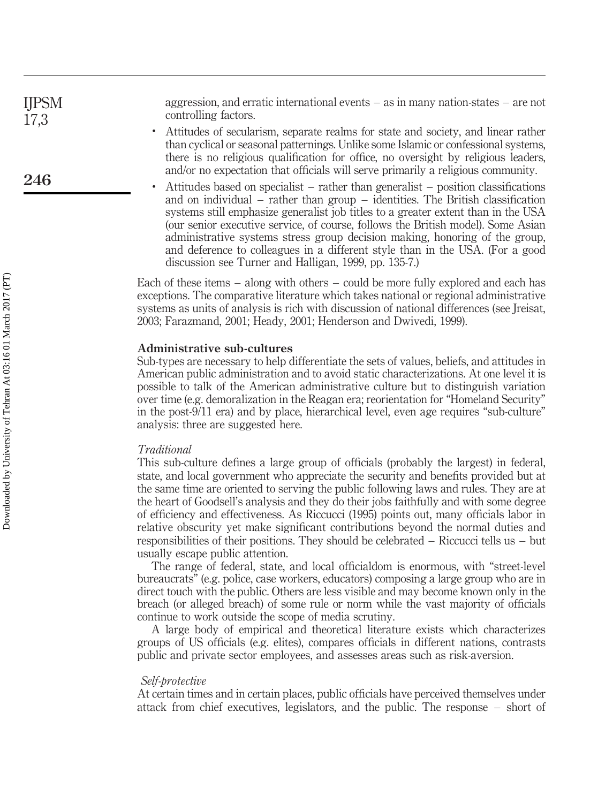aggression, and erratic international events – as in many nation-states – are not controlling factors.

- . Attitudes of secularism, separate realms for state and society, and linear rather than cyclical or seasonal patternings. Unlike some Islamic or confessional systems, there is no religious qualification for office, no oversight by religious leaders, and/or no expectation that officials will serve primarily a religious community.
- . Attitudes based on specialist rather than generalist position classifications and on individual – rather than group – identities. The British classification systems still emphasize generalist job titles to a greater extent than in the USA (our senior executive service, of course, follows the British model). Some Asian administrative systems stress group decision making, honoring of the group, and deference to colleagues in a different style than in the USA. (For a good discussion see Turner and Halligan, 1999, pp. 135-7.)

Each of these items – along with others – could be more fully explored and each has exceptions. The comparative literature which takes national or regional administrative systems as units of analysis is rich with discussion of national differences (see Jreisat, 2003; Farazmand, 2001; Heady, 2001; Henderson and Dwivedi, 1999).

#### Administrative sub-cultures

Sub-types are necessary to help differentiate the sets of values, beliefs, and attitudes in American public administration and to avoid static characterizations. At one level it is possible to talk of the American administrative culture but to distinguish variation over time (e.g. demoralization in the Reagan era; reorientation for "Homeland Security" in the post-9/11 era) and by place, hierarchical level, even age requires "sub-culture" analysis: three are suggested here.

#### Traditional

This sub-culture defines a large group of officials (probably the largest) in federal, state, and local government who appreciate the security and benefits provided but at the same time are oriented to serving the public following laws and rules. They are at the heart of Goodsell's analysis and they do their jobs faithfully and with some degree of efficiency and effectiveness. As Riccucci (1995) points out, many officials labor in relative obscurity yet make significant contributions beyond the normal duties and responsibilities of their positions. They should be celebrated – Riccucci tells us – but usually escape public attention.

The range of federal, state, and local officialdom is enormous, with "street-level bureaucrats" (e.g. police, case workers, educators) composing a large group who are in direct touch with the public. Others are less visible and may become known only in the breach (or alleged breach) of some rule or norm while the vast majority of officials continue to work outside the scope of media scrutiny.

A large body of empirical and theoretical literature exists which characterizes groups of US officials (e.g. elites), compares officials in different nations, contrasts public and private sector employees, and assesses areas such as risk-aversion.

#### Self-protective

At certain times and in certain places, public officials have perceived themselves under attack from chief executives, legislators, and the public. The response – short of

IJPSM 17,3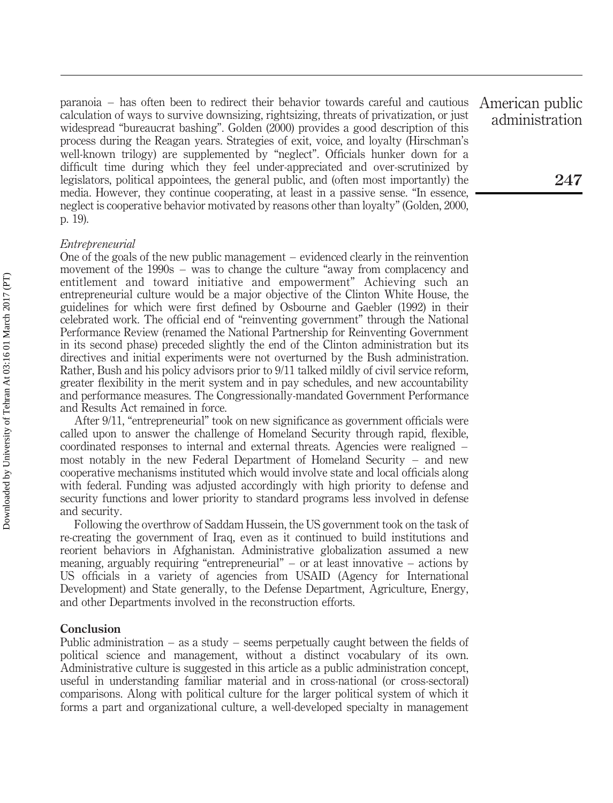paranoia – has often been to redirect their behavior towards careful and cautious calculation of ways to survive downsizing, rightsizing, threats of privatization, or just widespread "bureaucrat bashing". Golden (2000) provides a good description of this process during the Reagan years. Strategies of exit, voice, and loyalty (Hirschman's well-known trilogy) are supplemented by "neglect". Officials hunker down for a difficult time during which they feel under-appreciated and over-scrutinized by legislators, political appointees, the general public, and (often most importantly) the media. However, they continue cooperating, at least in a passive sense. "In essence, neglect is cooperative behavior motivated by reasons other than loyalty" (Golden, 2000, p. 19).

#### Entrepreneurial

One of the goals of the new public management – evidenced clearly in the reinvention movement of the 1990s – was to change the culture "away from complacency and entitlement and toward initiative and empowerment" Achieving such an entrepreneurial culture would be a major objective of the Clinton White House, the guidelines for which were first defined by Osbourne and Gaebler (1992) in their celebrated work. The official end of "reinventing government" through the National Performance Review (renamed the National Partnership for Reinventing Government in its second phase) preceded slightly the end of the Clinton administration but its directives and initial experiments were not overturned by the Bush administration. Rather, Bush and his policy advisors prior to 9/11 talked mildly of civil service reform, greater flexibility in the merit system and in pay schedules, and new accountability and performance measures. The Congressionally-mandated Government Performance and Results Act remained in force.

After 9/11, "entrepreneurial" took on new significance as government officials were called upon to answer the challenge of Homeland Security through rapid, flexible, coordinated responses to internal and external threats. Agencies were realigned – most notably in the new Federal Department of Homeland Security – and new cooperative mechanisms instituted which would involve state and local officials along with federal. Funding was adjusted accordingly with high priority to defense and security functions and lower priority to standard programs less involved in defense and security.

Following the overthrow of Saddam Hussein, the US government took on the task of re-creating the government of Iraq, even as it continued to build institutions and reorient behaviors in Afghanistan. Administrative globalization assumed a new meaning, arguably requiring "entrepreneurial" – or at least innovative – actions by US officials in a variety of agencies from USAID (Agency for International Development) and State generally, to the Defense Department, Agriculture, Energy, and other Departments involved in the reconstruction efforts.

#### Conclusion

Public administration – as a study – seems perpetually caught between the fields of political science and management, without a distinct vocabulary of its own. Administrative culture is suggested in this article as a public administration concept, useful in understanding familiar material and in cross-national (or cross-sectoral) comparisons. Along with political culture for the larger political system of which it forms a part and organizational culture, a well-developed specialty in management

American public administration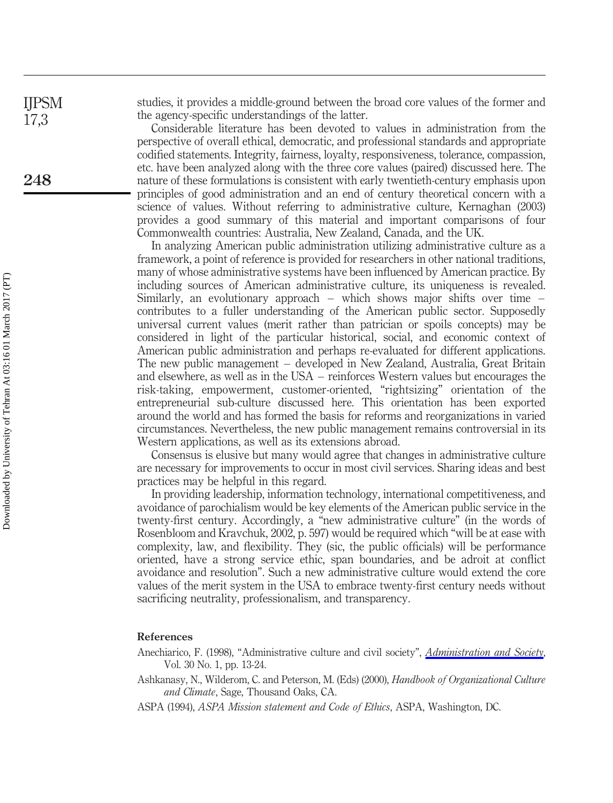studies, it provides a middle-ground between the broad core values of the former and the agency-specific understandings of the latter.

Considerable literature has been devoted to values in administration from the perspective of overall ethical, democratic, and professional standards and appropriate codified statements. Integrity, fairness, loyalty, responsiveness, tolerance, compassion, etc. have been analyzed along with the three core values (paired) discussed here. The nature of these formulations is consistent with early twentieth-century emphasis upon principles of good administration and an end of century theoretical concern with a science of values. Without referring to administrative culture, Kernaghan (2003) provides a good summary of this material and important comparisons of four Commonwealth countries: Australia, New Zealand, Canada, and the UK.

In analyzing American public administration utilizing administrative culture as a framework, a point of reference is provided for researchers in other national traditions, many of whose administrative systems have been influenced by American practice. By including sources of American administrative culture, its uniqueness is revealed. Similarly, an evolutionary approach – which shows major shifts over time – contributes to a fuller understanding of the American public sector. Supposedly universal current values (merit rather than patrician or spoils concepts) may be considered in light of the particular historical, social, and economic context of American public administration and perhaps re-evaluated for different applications. The new public management – developed in New Zealand, Australia, Great Britain and elsewhere, as well as in the USA – reinforces Western values but encourages the risk-taking, empowerment, customer-oriented, "rightsizing" orientation of the entrepreneurial sub-culture discussed here. This orientation has been exported around the world and has formed the basis for reforms and reorganizations in varied circumstances. Nevertheless, the new public management remains controversial in its Western applications, as well as its extensions abroad.

Consensus is elusive but many would agree that changes in administrative culture are necessary for improvements to occur in most civil services. Sharing ideas and best practices may be helpful in this regard.

In providing leadership, information technology, international competitiveness, and avoidance of parochialism would be key elements of the American public service in the twenty-first century. Accordingly, a "new administrative culture" (in the words of Rosenbloom and Kravchuk, 2002, p. 597) would be required which "will be at ease with complexity, law, and flexibility. They (sic, the public officials) will be performance oriented, have a strong service ethic, span boundaries, and be adroit at conflict avoidance and resolution". Such a new administrative culture would extend the core values of the merit system in the USA to embrace twenty-first century needs without sacrificing neutrality, professionalism, and transparency.

#### References

- Anechiarico, F. (1998), "Administrative culture and civil society", *[Administration and Society](http://www.emeraldinsight.com/action/showLinks?crossref=10.1177%2F009539979803000102&isi=000072314700002)*, Vol. 30 No. 1, pp. 13-24.
- Ashkanasy, N., Wilderom, C. and Peterson, M. (Eds) (2000), Handbook of Organizational Culture and Climate, Sage, Thousand Oaks, CA.

ASPA (1994), ASPA Mission statement and Code of Ethics, ASPA, Washington, DC.

IJPSM 17,3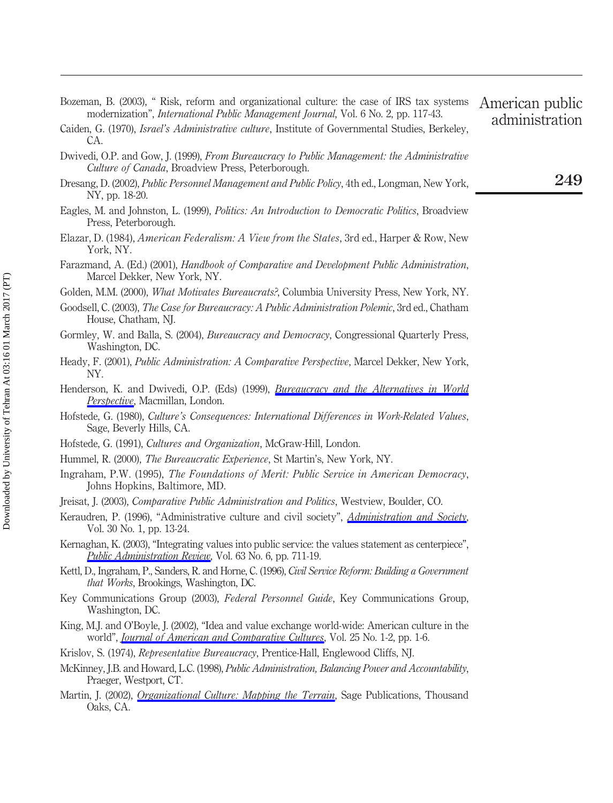| Bozeman, B. (2003), "Risk, reform and organizational culture: the case of IRS tax systems American public |                |
|-----------------------------------------------------------------------------------------------------------|----------------|
| modernization", <i>International Public Management Journal</i> , Vol. 6 No. 2, pp. 117-43.                | administration |
| Caiden, G. (1970), <i>Israel's Administrative culture</i> , Institute of Governmental Studies, Berkeley,  |                |

249

CA. Dwivedi, O.P. and Gow, J. (1999), From Bureaucracy to Public Management: the Administrative

- Culture of Canada, Broadview Press, Peterborough. Dresang, D. (2002), Public Personnel Management and Public Policy, 4th ed., Longman, New York,
- NY, pp. 18-20.
- Eagles, M. and Johnston, L. (1999), Politics: An Introduction to Democratic Politics, Broadview Press, Peterborough.
- Elazar, D. (1984), American Federalism: A View from the States, 3rd ed., Harper & Row, New York, NY.
- Farazmand, A. (Ed.) (2001), Handbook of Comparative and Development Public Administration, Marcel Dekker, New York, NY.
- Golden, M.M. (2000), What Motivates Bureaucrats?, Columbia University Press, New York, NY.
- Goodsell, C. (2003), The Case for Bureaucracy: A Public Administration Polemic, 3rd ed., Chatham House, Chatham, NJ.
- Gormley, W. and Balla, S. (2004), Bureaucracy and Democracy, Congressional Quarterly Press, Washington, DC.
- Heady, F. (2001), Public Administration: A Comparative Perspective, Marcel Dekker, New York, NY.
- Henderson, K. and Dwivedi, O.P. (Eds) (1999), *[Bureaucracy and the Alternatives in World](http://www.emeraldinsight.com/action/showLinks?crossref=10.1057%2F9780333983355)* [Perspective](http://www.emeraldinsight.com/action/showLinks?crossref=10.1057%2F9780333983355), Macmillan, London.
- Hofstede, G. (1980), Culture's Consequences: International Differences in Work-Related Values, Sage, Beverly Hills, CA.
- Hofstede, G. (1991), Cultures and Organization, McGraw-Hill, London.
- Hummel, R. (2000), The Bureaucratic Experience, St Martin's, New York, NY.
- Ingraham, P.W. (1995), The Foundations of Merit: Public Service in American Democracy, Johns Hopkins, Baltimore, MD.
- Jreisat, J. (2003), Comparative Public Administration and Politics, Westview, Boulder, CO.
- Keraudren, P. (1996), "Administrative culture and civil society", *[Administration and Society](http://www.emeraldinsight.com/action/showLinks?isi=000072314700002)*, Vol. 30 No. 1, pp. 13-24.
- Kernaghan, K. (2003), "Integrating values into public service: the values statement as centerpiece", **[Public Administration Review](http://www.emeraldinsight.com/action/showLinks?crossref=10.1111%2F1540-6210.00334&isi=000186302800006), Vol. 63 No. 6, pp. 711-19.**
- Kettl, D., Ingraham, P., Sanders, R. and Horne, C. (1996), Civil Service Reform: Building a Government that Works, Brookings, Washington, DC.
- Key Communications Group (2003), Federal Personnel Guide, Key Communications Group, Washington, DC.
- King, M.J. and O'Boyle, J. (2002), "Idea and value exchange world-wide: American culture in the world", *[Journal of American and Comparative Cultures](http://www.emeraldinsight.com/action/showLinks?crossref=10.1111%2F1542-734X.00001)*, Vol. 25 No. 1-2, pp. 1-6.
- Krislov, S. (1974), Representative Bureaucracy, Prentice-Hall, Englewood Cliffs, NJ.
- McKinney, J.B. and Howard, L.C. (1998), Public Administration, Balancing Power and Accountability, Praeger, Westport, CT.
- Martin, J. (2002), *[Organizational Culture: Mapping the Terrain](http://www.emeraldinsight.com/action/showLinks?crossref=10.4135%2F9781483328478)*, Sage Publications, Thousand Oaks, CA.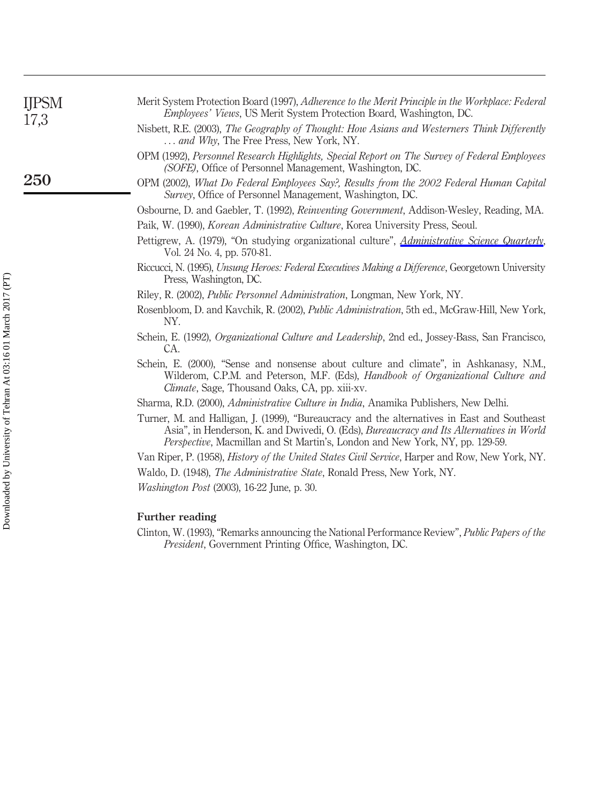| IJPSM<br>17,3 | Merit System Protection Board (1997), Adherence to the Merit Principle in the Workplace: Federal<br><i>Employees' Views</i> , US Merit System Protection Board, Washington, DC. |
|---------------|---------------------------------------------------------------------------------------------------------------------------------------------------------------------------------|
|               | Nisbett, R.E. (2003), The Geography of Thought: How Asians and Westerners Think Differently<br>and Why, The Free Press, New York, NY.                                           |
| 250           | OPM (1992), Personnel Research Highlights, Special Report on The Survey of Federal Employees<br>(SOFE), Office of Personnel Management, Washington, DC.                         |
|               | OPM (2002), What Do Federal Employees Say?, Results from the 2002 Federal Human Capital<br><i>Survey</i> , Office of Personnel Management, Washington, DC.                      |
|               | Osbourne, D. and Gaebler, T. (1992), Reinventing Government, Addison-Wesley, Reading, MA.                                                                                       |
|               | Paik, W. (1990), <i>Korean Administrative Culture</i> , Korea University Press, Seoul.                                                                                          |

- Pettigrew, A. (1979), "On studying organizational culture", *[Administrative Science Quarterly](http://www.emeraldinsight.com/action/showLinks?crossref=10.2307%2F2392363&isi=A1979HX29300006)*, Vol. 24 No. 4, pp. 570-81.
- Riccucci, N. (1995), Unsung Heroes: Federal Executives Making a Difference, Georgetown University Press, Washington, DC.
- Riley, R. (2002), Public Personnel Administration, Longman, New York, NY.
- Rosenbloom, D. and Kavchik, R. (2002), Public Administration, 5th ed., McGraw-Hill, New York, NY.
- Schein, E. (1992), Organizational Culture and Leadership, 2nd ed., Jossey-Bass, San Francisco, CA.
- Schein, E. (2000), "Sense and nonsense about culture and climate", in Ashkanasy, N.M., Wilderom, C.P.M. and Peterson, M.F. (Eds), Handbook of Organizational Culture and Climate, Sage, Thousand Oaks, CA, pp. xiii-xv.
- Sharma, R.D. (2000), Administrative Culture in India, Anamika Publishers, New Delhi.
- Turner, M. and Halligan, J. (1999), "Bureaucracy and the alternatives in East and Southeast Asia", in Henderson, K. and Dwivedi, O. (Eds), Bureaucracy and Its Alternatives in World Perspective, Macmillan and St Martin's, London and New York, NY, pp. 129-59.
- Van Riper, P. (1958), History of the United States Civil Service, Harper and Row, New York, NY.
- Waldo, D. (1948), The Administrative State, Ronald Press, New York, NY.

Washington Post (2003), 16-22 June, p. 30.

#### Further reading

Clinton, W. (1993), "Remarks announcing the National Performance Review", Public Papers of the President, Government Printing Office, Washington, DC.